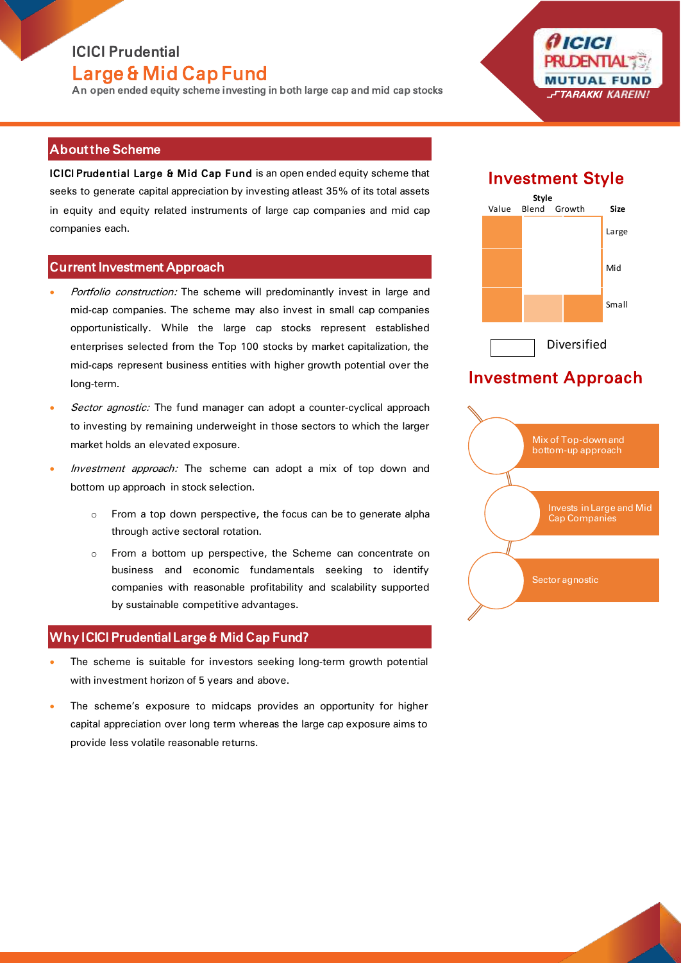## ICICI Prudential Large & Mid Cap Fund

An open ended equity scheme investing in both large cap and mid cap stocks

(† ICICI FTARAKKI KAREINI

### About the Scheme

ICICI Prudential Large & Mid Cap Fund is an open ended equity scheme that seeks to generate capital appreciation by investing atleast 35% of its total assets in equity and equity related instruments of large cap companies and mid cap companies each.

### Current Investment Approach

- Portfolio construction: The scheme will predominantly invest in large and mid-cap companies. The scheme may also invest in small cap companies opportunistically. While the large cap stocks represent established enterprises selected from the Top 100 stocks by market capitalization, the mid-caps represent business entities with higher growth potential over the long-term.
- Sector agnostic: The fund manager can adopt a counter-cyclical approach to investing by remaining underweight in those sectors to which the larger market holds an elevated exposure.
- Investment approach: The scheme can adopt a mix of top down and bottom up approach in stock selection.
	- o From a top down perspective, the focus can be to generate alpha through active sectoral rotation.
	- o From a bottom up perspective, the Scheme can concentrate on business and economic fundamentals seeking to identify companies with reasonable profitability and scalability supported by sustainable competitive advantages.

## Why ICICI Prudential Large & Mid Cap Fund?

- The scheme is suitable for investors seeking long-term growth potential with investment horizon of 5 years and above.
- The scheme's exposure to midcaps provides an opportunity for higher capital appreciation over long term whereas the large cap exposure aims to provide less volatile reasonable returns.

# Investment Style



# Investment Approach

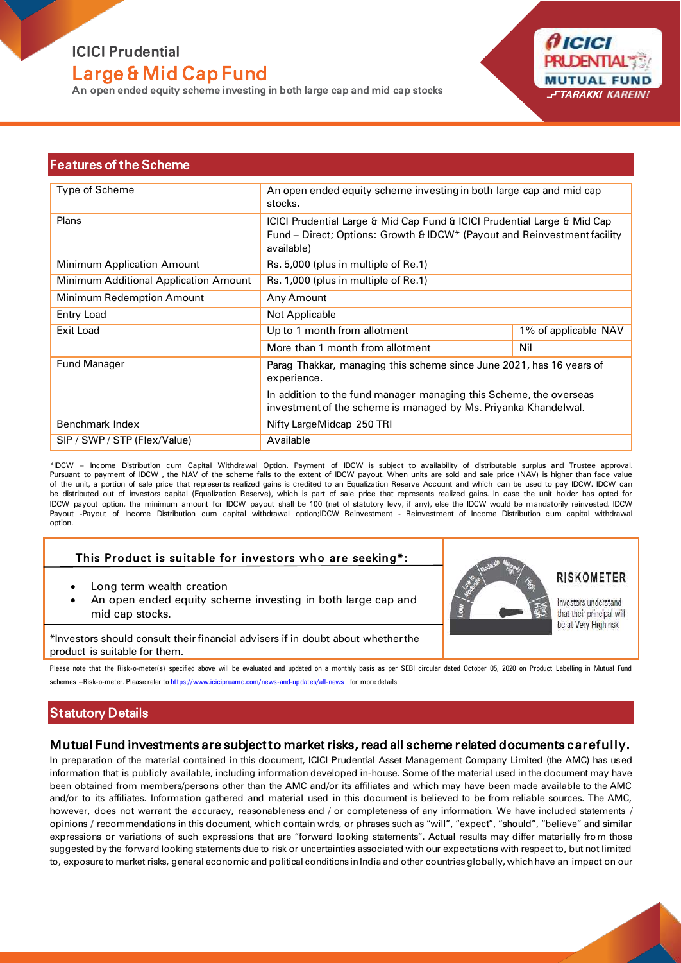# ICICI Prudential Large & Mid Cap Fund

An open ended equity scheme investing in both large cap and mid cap stocks

*AICICI* **PRUDENTIA MUTUAL FUND** FTARAKKI KAREIN!

#### Features of the Scheme

| Type of Scheme                        | An open ended equity scheme investing in both large cap and mid cap<br>stocks.                                                                                     |                      |
|---------------------------------------|--------------------------------------------------------------------------------------------------------------------------------------------------------------------|----------------------|
| Plans                                 | ICICI Prudential Large & Mid Cap Fund & ICICI Prudential Large & Mid Cap<br>Fund - Direct; Options: Growth & IDCW* (Payout and Reinvestment facility<br>available) |                      |
| <b>Minimum Application Amount</b>     | Rs. 5,000 (plus in multiple of Re.1)                                                                                                                               |                      |
| Minimum Additional Application Amount | Rs. 1,000 (plus in multiple of Re.1)                                                                                                                               |                      |
| Minimum Redemption Amount             | Any Amount                                                                                                                                                         |                      |
| Entry Load                            | Not Applicable                                                                                                                                                     |                      |
| Exit Load                             | Up to 1 month from allotment                                                                                                                                       | 1% of applicable NAV |
|                                       | More than 1 month from allotment                                                                                                                                   | Nil                  |
| <b>Fund Manager</b>                   | Parag Thakkar, managing this scheme since June 2021, has 16 years of<br>experience.                                                                                |                      |
|                                       | In addition to the fund manager managing this Scheme, the overseas<br>investment of the scheme is managed by Ms. Priyanka Khandelwal.                              |                      |
| Benchmark Index                       | Nifty Large Midcap 250 TRI                                                                                                                                         |                      |
| SIP / SWP / STP (Flex/Value)          | Available                                                                                                                                                          |                      |

\*IDCW – Income Distribution cum Capital Withdrawal Option. Payment of IDCW is subject to availability of distributable surplus and Trustee approval. Pursuant to payment of IDCW , the NAV of the scheme falls to the extent of IDCW payout. When units are sold and sale price (NAV) is higher than face value of the unit, a portion of sale price that represents realized gains is credited to an Equalization Reserve Account and which can be used to pay IDCW. IDCW can be distributed out of investors capital (Equalization Reserve), which is part of sale price that represents realized gains. In case the unit holder has opted for IDCW payout option, the minimum amount for IDCW payout shall be 100 (net of statutory levy, if any), else the IDCW would be mandatorily reinvested. IDCW Payout -Payout of Income Distribution cum capital withdrawal option;IDCW Reinvestment - Reinvestment of Income Distribution cum capital withdrawal option.

#### This Product is suitable for investors who are seeking\*:

- Long term wealth creation
- An open ended equity scheme investing in both large cap and mid cap stocks.



### RISKOMETER

Investors understand that their principal will be at Very High risk

\*Investors should consult their financial advisers if in doubt about whether the product is suitable for them.

Please note that the Risk-o-meter(s) specified above will be evaluated and updated on a monthly basis as per SEBI circular dated October 05, 2020 on Product Labelling in Mutual Fund schemes –Risk-o-meter. Please refer to https://www.icicipruamc.com/news-and-updates/all-news for more details

#### **Statutory Details**

#### Mutual Fund investments are subject to market risks, read all scheme related documents carefully.

In preparation of the material contained in this document, ICICI Prudential Asset Management Company Limited (the AMC) has used information that is publicly available, including information developed in-house. Some of the material used in the document may have been obtained from members/persons other than the AMC and/or its affiliates and which may have been made available to the AMC and/or to its affiliates. Information gathered and material used in this document is believed to be from reliable sources. The AMC, however, does not warrant the accuracy, reasonableness and / or completeness of any information. We have included statements / opinions / recommendations in this document, which contain wrds, or phrases such as "will", "expect", "should", "believe" and similar expressions or variations of such expressions that are "forward looking statements". Actual results may differ materially fro m those suggested by the forward looking statements due to risk or uncertainties associated with our expectations with respect to, but not limited to, exposure to market risks, general economic and political conditions in India and other countries globally, which have an impact on our